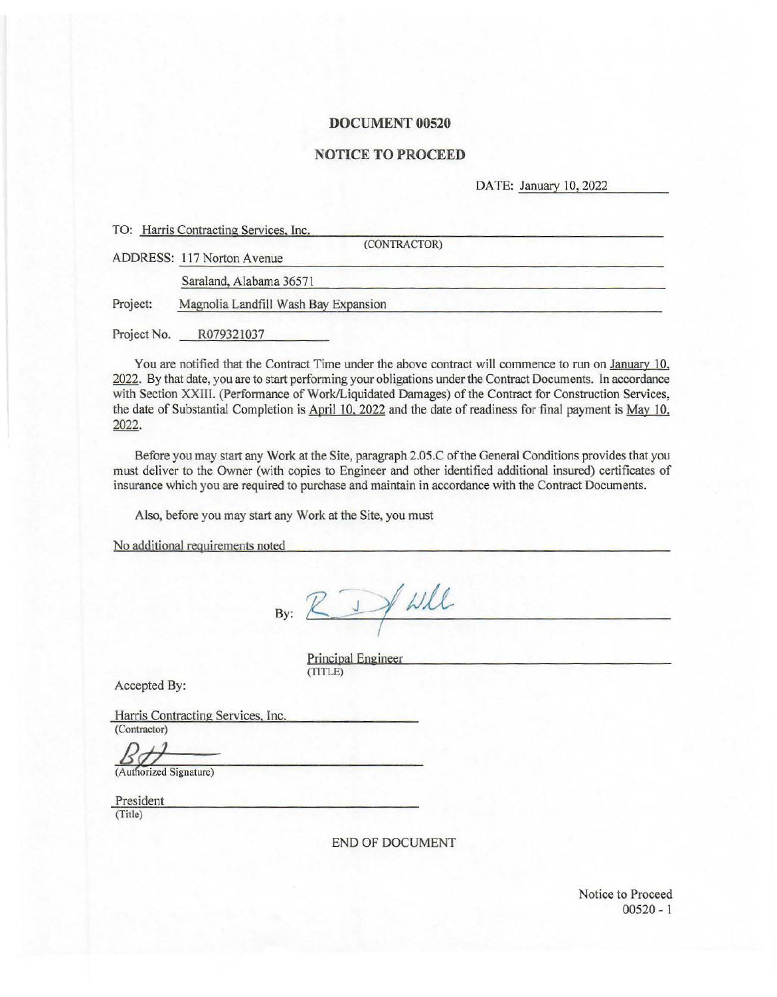#### **DOCUMENT 00520**

# **NOTICE TO PROCEED**

DATE: January 10, 2022

|             | TO: Harris Contracting Services, Inc.<br>(CONTRACTOR) |
|-------------|-------------------------------------------------------|
|             | ADDRESS: 117 Norton Avenue                            |
|             | Saraland, Alabama 36571                               |
| Project:    | Magnolia Landfill Wash Bay Expansion                  |
| Project No. | R079321037                                            |

You are notified that the Contract Time under the above contract will commence to run on January 10, 2022. By that date, you are to start performing your obligations under the Contract Documents. In accordance with Section XXIIL (Performance of Work/Liquidated Damages) of the Contract for Construction Services, the date of Substantial Completion is April 10, 2022 and the date of readiness for final payment is May 10. 2022.

Before you may start any Work at the Site, paragraph 2.05.C of the General Conditions provides that you must deliver to the Owner (with copies to Engineer and other identified additional insured) certificates of insurance which you are required to purchase and maintain in accordance with the Contract Documents.

Also, before you may start any Work at the Site, you must

No additional requirements noted

By:  $\sqrt{2}$ 

Principal Engineer (TITLE)

Accepted By:

Harris Contracting Services, Inc. (Contractor)

(Authorized Signature)

President (Title)

END OF DOCUMENT

Notice to Proceed 00520 - 1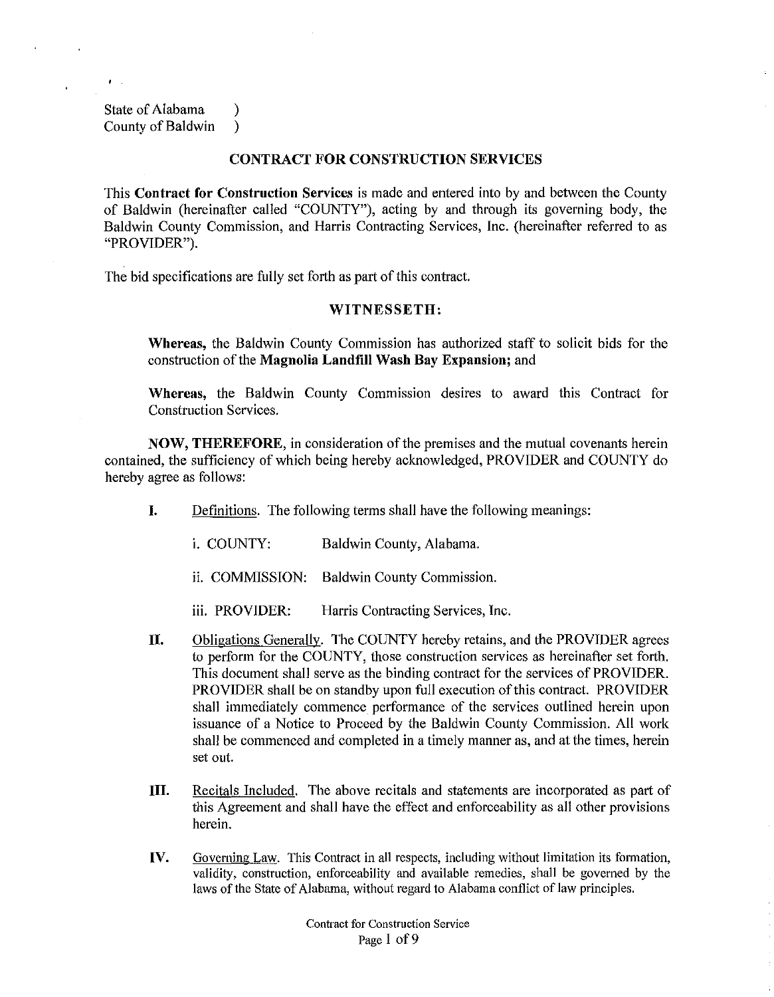State of Alabama (b) County of Baldwin )

#### **CONTRACT FOR CONSTRUCTION SERVICES**

This **Contract for Construction Services** is made and entered into by and between the County of Baldwin (hereinafter called "COUNTY"), acting by and through its governing body, the Baldwin County Commission, and Harris Contracting Services, Inc. (hereinafter referred to as "PROVIDER").

The bid specifications are fully set forth as part of this contract.

## **WITNESSETH:**

**Whereas,** the Baldwin County Commission has authorized staff to solicit bids for the construction of the **Magnolia Landfill Wash Bay Expansion;** and

**Whereas,** the Baldwin County Commission desires to award this Contract for Construction Services.

**NOW, THEREFORE,** in consideration of the premises and the mutual covenants herein contained, the sufficiency of which being hereby acknowledged, PROVIDER and COUNTY do hereby agree as follows:

- **I.** Definitions. The following terms shall have the following meanings:
	- i. COUNTY: Baldwin County, Alabama.
	- ii. COMMISSION: Baldwin County Commission.
	- iii. PROVIDER: Harris Contracting Services, lnc.
- **II.** Obligations Generally. The COUNTY hereby retains, and the PROVIDER agrees to perform for the COUNTY, those construction services as hereinafter set forth. This document shall serve as the binding contract for the services of PROVIDER. PROVIDER shall be on standby upon full execution of this contract. PROVIDER shall immediately commence performance of the services outlined herein upon issuance of a Notice to Proceed by the Baldwin County Commission. All work shall be commenced and completed in a timely manner as, and at the times, herein set out.
- **Ill.** Recitals Included. The above recitals and statements are incorporated as part of this Agreement and shall have the effect and enforceability as all other provisions herein.
- **IV.** Governing Law. This Contract in all respects, including without limitation its formation, validity, construction, enforceability and available remedies, shall be governed by the laws of the State of Alabama, without regard to Alabama conflict of law principles.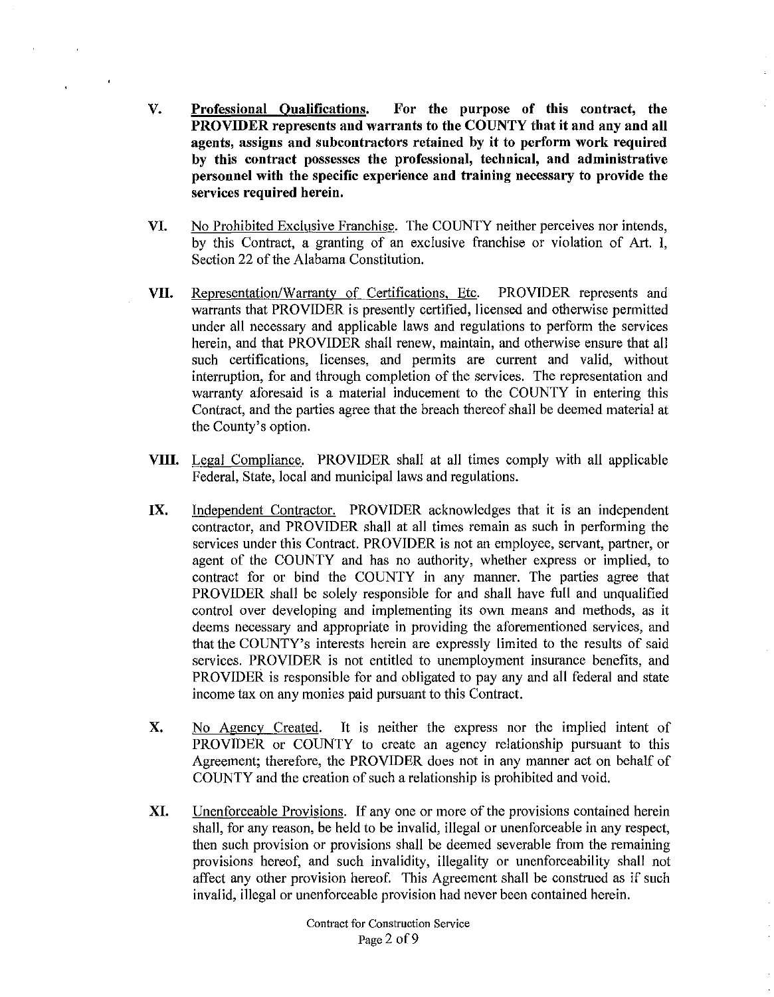- V. Professional Qualifications. For the purpose of this contract, the PROVIDER represents and warrants to the COUNTY that it and any and all agents, assigns and subcontractors retained by it to perform work required by this contract possesses the professional, technical, and administrative personnel with the specific experience and training necessary to provide the services required herein.
- VI. No Prohibited Exclusive Franchise. The COUNTY neither perceives nor intends, by this Contract, a granting of an exclusive franchise or violation of Art. I, Section 22 of the Alabama Constitution.
- VII. Representation/Warranty of Certifications, Etc. PROVIDER represents and warrants that PROVIDER is presently certified, licensed and otherwise permitted under all necessary and applicable laws and regulations to perform the services herein, and that PROVIDER shall renew, maintain, and otherwise ensure that all such certifications, licenses, and permits are current and valid, without interruption, for and through completion of the services. The representation and warranty aforesaid is a material inducement to the COUNTY in entering this Contract, and the parties agree that the breach thereof shall be deemed material at the County's option.
- VIII. Legal Compliance. PROVIDER shall at all times comply with all applicable Federal, State, local and municipal laws and regulations.
- IX. Independent Contractor. PROVIDER acknowledges that it is an independent contractor, and PROVIDER shall at all times remain as such in performing the services under this Contract. PROVIDER is not an employee, servant, partner, or agent of the COUNTY and has no authority, whether express or implied, to contract for or bind the COUNTY in any manner. The parties agree that PROVIDER shall be solely responsible for and shall have full and unqualified control over developing and implementing its own means and methods, as it deems necessary and appropriate in providing the aforementioned services, and that the COUNTY's interests herein are expressly limited to the results of said services. PROVIDER is not entitled to unemployment insurance benefits, and PROVIDER is responsible for and obligated to pay any and all federal and state income tax on any monies paid pursuant to this Contract.
- X. No Agency Created. It is neither the express nor the implied intent of PROVIDER or COUNTY to create an agency relationship pursuant to this Agreement; therefore, the PROVIDER does not in any manner act on behalf of COUNTY and the creation of such a relationship is prohibited and void.
- XI. Unenforceable Provisions. If any one or more of the provisions contained herein shall, for any reason, be held to be invalid, illegal or unenforceable in any respect, then such provision or provisions shall be deemed severable from the remaining provisions hereof, and such invalidity, illegality or unenforceability shall not affect any other provision hereof. This Agreement shall be construed as if such invalid, illegal or unenforceable provision had never been contained herein.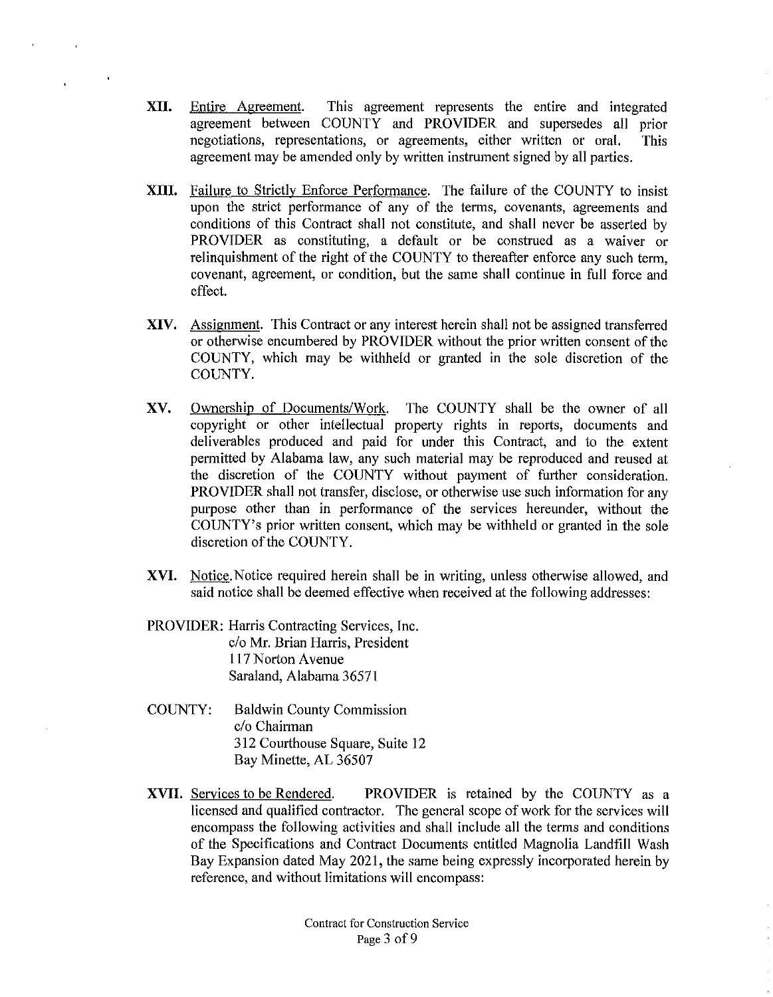- **XII.** Entire Agreement. This agreement represents the entire and integrated agreement between COUNTY and PROVIDER and supersedes all prior negotiations, representations, or agreements, either written or oral. This agreement may be amended only by written instrument signed by all parties.
- **XIII.** Failure to Strictly Enforce Performance. The failure of the COUNTY to insist upon the strict performance of any of the terms, covenants, agreements and conditions of this Contract shall not constitute, and shall never be asserted by PROVIDER as constituting, a default or be construed as a waiver or relinquishment of the right of the COUNTY to thereafter enforce any such term, covenant, agreement, or condition, but the same shall continue in full force and effect.
- **XIV.** Assignment. This Contract or any interest herein shall not be assigned transferred or otherwise encumbered by PROVIDER without the prior written consent of the COUNTY, which may be withheld or granted in the sole discretion of the COUNTY.
- XV. Ownership of Documents/Work. The COUNTY shall be the owner of all copyright or other intellectual property rights in reports, documents and deliverables produced and paid for under this Contract, and to the extent permitted by Alabama law, any such material may be reproduced and reused at the discretion of the COUNTY without payment of further consideration. PROVIDER shall not transfer, disclose, or otherwise use such information for any purpose other than in performance of the services hereunder, without the COUNTY's prior written consent, which may be withheld or granted in the sole discretion of the COUNTY.
- **XVI.** Notice. Notice required herein shall be in writing, unless otherwise allowed, and said notice shall be deemed effective when received at the following addresses:
- PROVIDER: Harris Contracting Services, Inc. c/o Mr. Brian Harris, President 117 Norton Avenue Saraland, Alabama 36571
- COUNTY: Baldwin County Commission c/o Chairman 312 Courthouse Square, Suite 12 Bay Minette, AL 36507
- **XVII.** Services to be Rendered. PROVIDER is retained by the COUNTY as a licensed and qualified contractor. The general scope of work for the services will encompass the following activities and shall include all the terms and conditions of the Specifications and Contract Documents entitled Magnolia Landfill Wash Bay Expansion dated May 2021, the same being expressly incorporated herein by reference, and without limitations will encompass: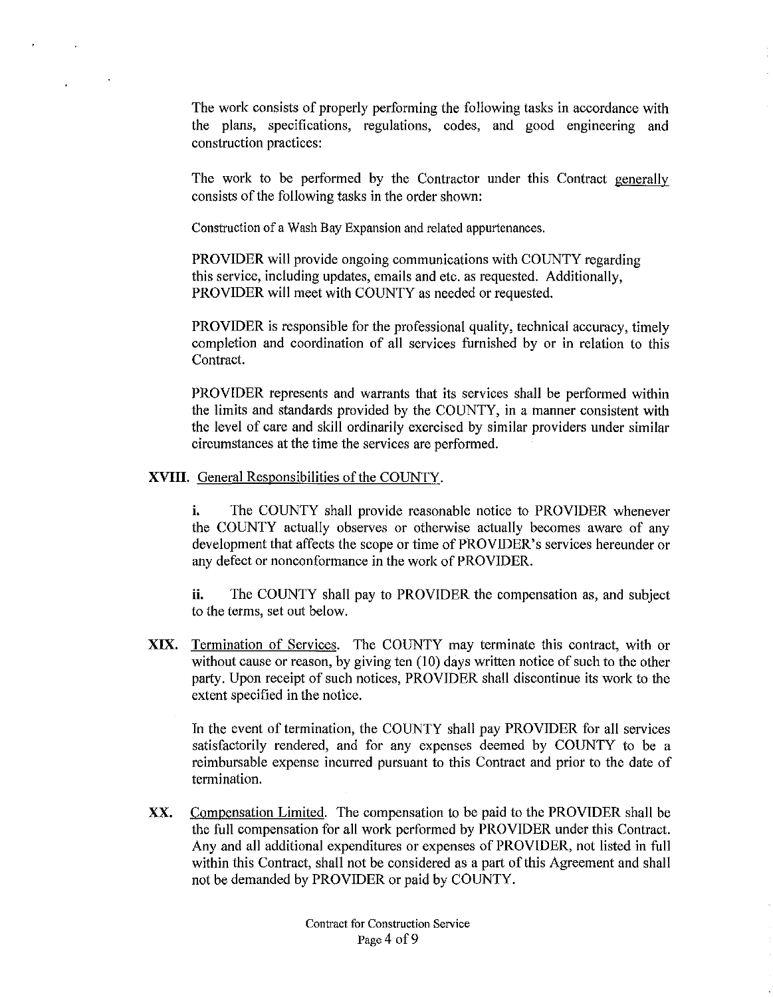The work consists of properly performing the following tasks in accordance with the plans, specifications, regulations, codes, and good engineering and construction practices:

The work to be performed by the Contractor under this Contract generally consists of the following tasks in the order shown:

Construction of a Wash Bay Expansion and related appurtenances.

PROVIDER will provide ongoing communications with COUNTY regarding this service, including updates, emails and etc. as requested. Additionally, PROVIDER will meet with COUNTY as needed or requested.

PROVIDER is responsible for the professional quality, technical accuracy, timely completion and coordination of all services furnished by or in relation to this Contract.

PROVIDER represents and warrants that its services shall be performed within the limits and standards provided by the COUNTY, in a manner consistent with the level of care and skill ordinarily exercised by similar providers under similar circumstances at the time the services are performed.

**XVIII.** General Responsibilities of the COUNTY.

**i.** The COUNTY shall provide reasonable notice to PROVIDER whenever the COUNTY actually observes or otherwise actually becomes aware of any development that affects the scope or time of PROVIDER's services hereunder or any defect or nonconformance in the work of PROVIDER.

**ii.** The COUNTY shall pay to PROVIDER the compensation as, and subject to the terms, set out below.

**XIX.** Termination of Services. The COUNTY may terminate this contract, with or without cause or reason, by giving ten (10) days written notice of such to the other party. Upon receipt of such notices, PROVIDER shall discontinue its work to the extent specified in the notice.

In the event of termination, the COUNTY shall pay PROVIDER for all services satisfactorily rendered, and for any expenses deemed by COUNTY to be a reimbursable expense incurred pursuant to this Contract and prior to the date of termination.

XX. Compensation Limited. The compensation to be paid to the PROVIDER shall be the full compensation for all work performed by PROVIDER under this Contract. Any and all additional expenditures or expenses of PROVIDER, not listed in full within this Contract, shall not be considered as a part of this Agreement and shall not be demanded by PROVIDER or paid by COUNTY.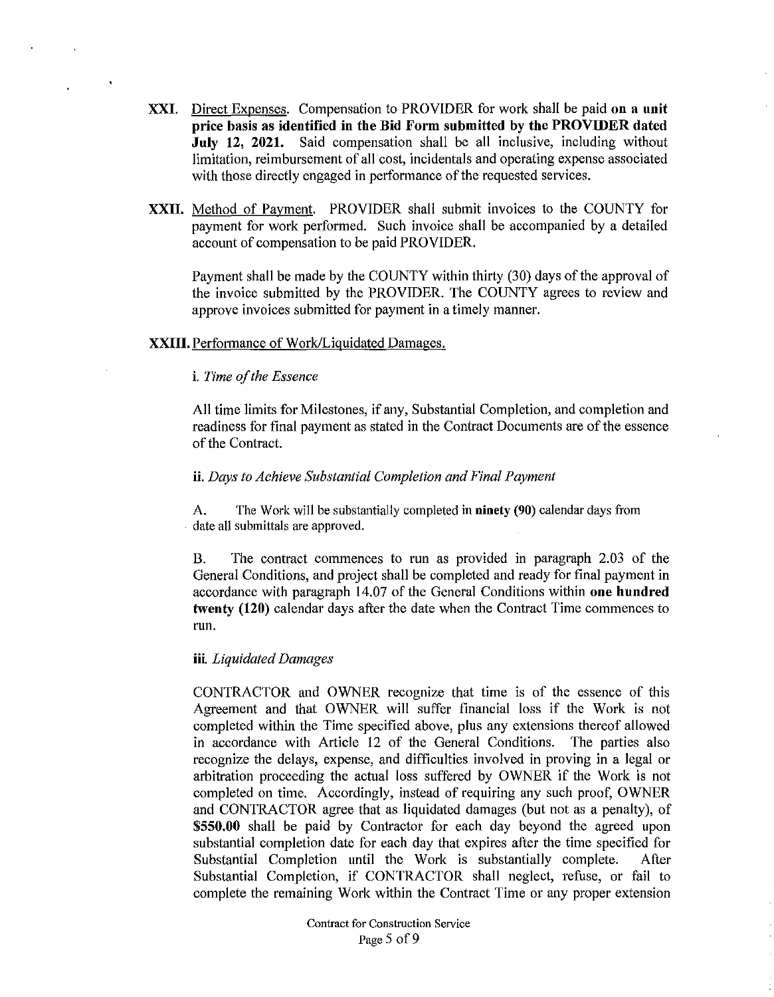- **XXI.** Direct Expenses. Compensation to PROVIDER for work shall be paid **on a unit price basis as identified in the Bid Form submitted by the PROVIDER dated July 12, 2021.** Said compensation shall be all inclusive, including without limitation, reimbursement of all cost, incidentals and operating expense associated with those directly engaged in performance of the requested services.
- **XXII.** Method of Payment. PROVIDER shall submit invoices to the COUNTY for payment for work performed. Such invoice shall be accompanied by a detailed account of compensation to be paid PROVIDER.

Payment shall be made by the COUNTY within thirty (30) days of the approval of the invoice submitted by the PROVIDER. The COUNTY agrees to review and approve invoices submitted for payment in a timely manner.

## **XXIII.** Performance of Work/Liguidated Damages.

## **i.** *Time of the Essence*

All time limits for Milestones, if any, Substantial Completion, and completion and readiness for final payment as stated in the Contract Documents are of the essence of the Contract.

#### **ii.** *Days to Achieve Substantial Completion and Final Payment*

A. The Work will be substantially completed in **ninety (90)** calendar days from date all submittals are approved.

B. The contract commences to run as provided in paragraph 2.03 of the General Conditions, and project shall be completed and ready for final payment in accordance with paragraph 14.07 of the General Conditions within **one hundred twenty (120)** calendar days after the date when the Contract Time commences to run.

#### **iii.** *Liquidated Damages*

CONTRACTOR and OWNER recognize that time is of the essence of this Agreement and that OWNER will suffer financial loss if the Work is not completed within the Time specified above, plus any extensions thereof allowed in accordance with Article 12 of the General Conditions. The parties also recognize the delays, expense, and difficulties involved in proving in a legal or arbitration proceeding the actual loss suffered by OWNER if the Work is not completed on time. Accordingly, instead of requiring any such proof, OWNER and CONTRACTOR agree that as liquidated damages (but not as a penalty), of **\$550.00** shall be paid by Contractor for each day beyond the agreed upon substantial completion date for each day that expires after the time specified for Substantial Completion until the Work is substantially complete. After Substantial Completion, if CONTRACTOR shall neglect, refuse, or fail to complete the remaining Work within the Contract Time or any proper extension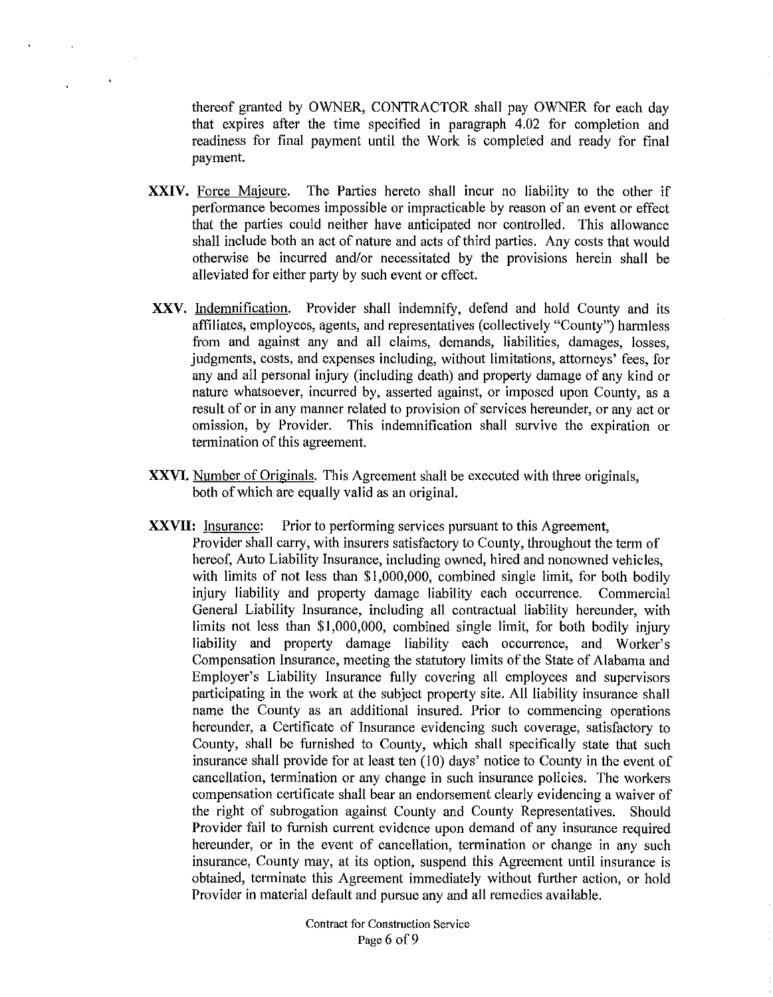thereof granted by OWNER, CONTRACTOR shall pay OWNER for each day that expires after the time specified in paragraph 4.02 for completion and readiness for final payment until the Work is completed and ready for final payment.

- **XXIV.** Force Majeure. The Parties hereto shall incur no liability to the other if performance becomes impossible or impracticable by reason of an event or effect that the parties could neither have anticipated nor controlled. This allowance shall include both an act of nature and acts of third parties. Any costs that would otherwise be incurred and/or necessitated by the provisions herein shall be alleviated for either party by such event or effect.
- XXV. Indemnification. Provider shall indemnify, defend and hold County and its affiliates, employees, agents, and representatives (collectively "County") harmless from and against any and all claims, demands, liabilities, damages, losses, judgments, costs, and expenses including, without limitations, attorneys' fees, for any and all personal injury (including death) and property damage of any kind or nature whatsoever, incurred by, asserted against, or imposed upon County, as a result of or in any manner related to provision of services hereunder, or any act or omission, by Provider. This indemnification shall survive the expiration or termination of this agreement.
- **XXVI.** Number of Originals. This Agreement shall be executed with three originals, both of which are equally valid as an original.
- **XXVII:** Insurance: Prior to performing services pursuant to this Agreement,
	- Provider shall carry, with insurers satisfactory to County, throughout the term of hereof, Auto Liability Insurance, including owned, hired and nonowned vehicles, with limits of not less than \$1,000,000, combined single limit, for both bodily injury liability and property damage liability each occurrence. Commercial General Liability Insurance, including all contractual liability hereunder, with limits not less than \$1,000,000, combined single limit, for both bodily injury liability and property damage liability each occurrence, and Worker's Compensation Insurance, meeting the statutory limits of the State of Alabama and Employer's Liability Insurance fully covering all employees and supervisors participating in the work at the subject property site. All liability insurance shall name the County as an additional insured. Prior to commencing operations hereunder, a Certificate of Insurance evidencing such coverage, satisfactory to County, shall be furnished to County, which shall specifically state that such insurance shall provide for at least ten  $(10)$  days' notice to County in the event of cancellation, termination or any change in such insurance policies. The workers compensation certificate shall bear an endorsement clearly evidencing a waiver of the right of subrogation against County and County Representatives. Should Provider fail to furnish current evidence upon demand of any insurance required hereunder, or in the event of cancellation, termination or change in any such insurance, County may, at its option, suspend this Agreement until insurance is obtained, terminate this Agreement immediately without further action, or hold Provider in material default and pursue any and all remedies available.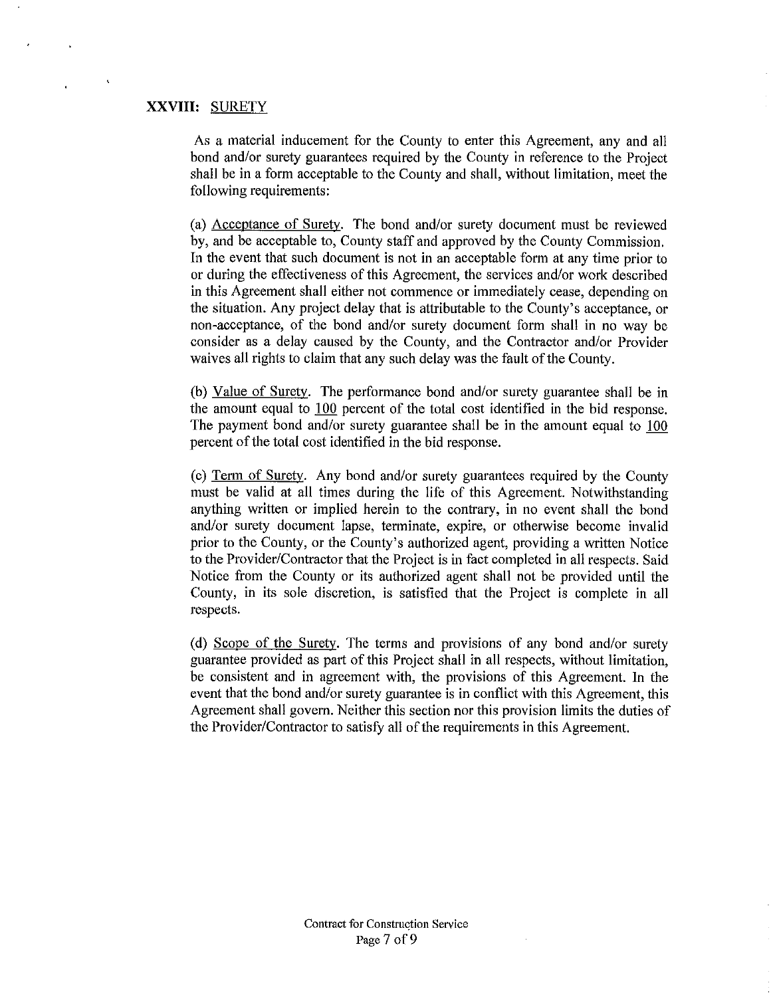# **XXVIII:** SURETY

As a material inducement for the County to enter this Agreement, any and all bond and/or surety guarantees required by the County in reference to the Project shall be in a form acceptable to the County and shall, without limitation, meet the following requirements:

(a) Acceptance of Surety. The bond and/or surety document must be reviewed by, and be acceptable to, County staff and approved by the County Commission. In the event that such document is not in an acceptable form at any time prior to or during the effectiveness of this Agreement, the services and/or work described in this Agreement shall either not commence or immediately cease, depending on the situation. Any project delay that is attributable to the County's acceptance, or non-acceptance, of the bond and/or surety document form shall in no way be consider as a delay caused by the County, and the Contractor and/or Provider waives all rights to claim that any such delay was the fault of the County.

(b) Value of Surety. The performance bond and/or surety guarantee shall be in the amount equal to 100 percent of the total cost identified in the bid response. The payment bond and/or surety guarantee shall be in the amount equal to  $100$ percent of the total cost identified in the bid response.

(c) Term of Surety. Any bond and/or surety guarantees required by the County must be valid at all times during the life of this Agreement. Notwithstanding anything written or implied herein to the contrary, in no event shall the bond and/or surety document lapse, terminate, expire, or otherwise become invalid prior to the County, or the County's authorized agent, providing a written Notice to the Provider/Contractor that the Project is in fact completed in all respects. Said Notice from the County or its authorized agent shall not be provided until the County, in its sole discretion, is satisfied that the Project is complete in all respects.

(d) Scope of the Surety. The terms and provisions of any bond and/or surety guarantee provided as part of this Project shall in all respects, without limitation, be consistent and in agreement with, the provisions of this Agreement. In the event that the bond and/or surety guarantee is in conflict with this Agreement, this Agreement shall govern. Neither this section nor this provision limits the duties of the Provider/Contractor to satisfy all of the requirements in this Agreement.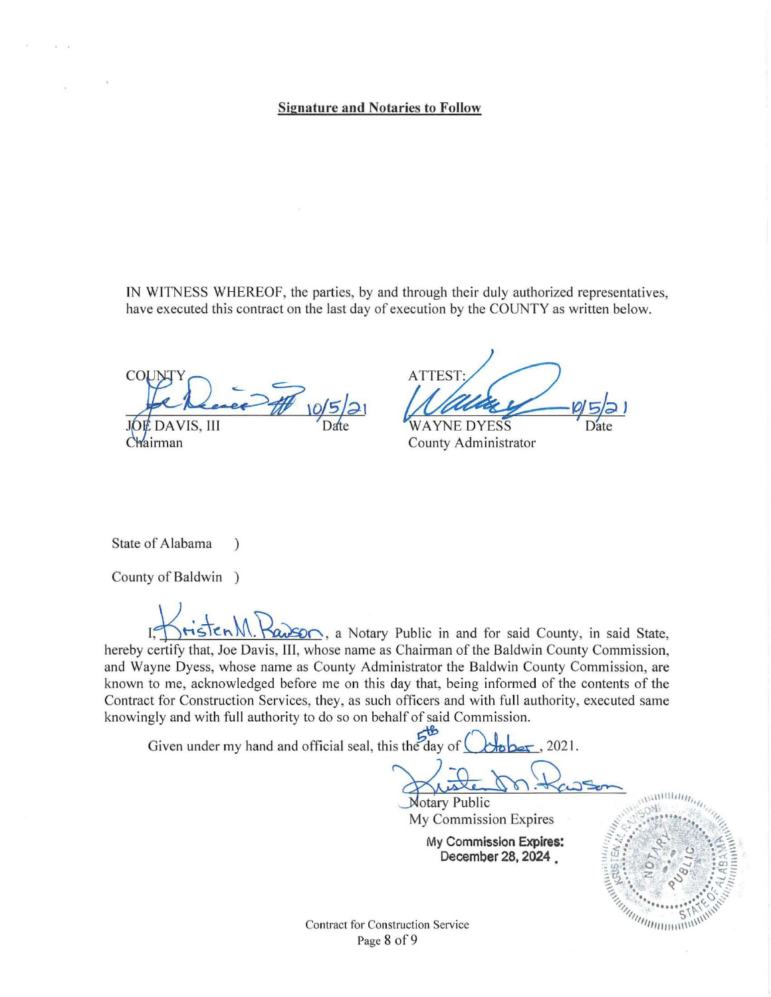## Signature and Notaries to Follow

IN WITNESS WHEREOF, the parties, by and through their duly authorized representatives, have executed this contract on the last day of execution by the COUNTY as written below.

Dence # 10/5/2 DAVIS, III Chairman

ATTEST: ATTEST:<br> *Mallie P* = 0 5 2 1<br>
WAYNE DYESS<br>
County Administrator

State of Alabama )

County of Baldwin )

 $m.$   $\frac{1}{100}$ ,  $\frac{1}{200}$ , a Notary Public in and for said County, in said State, hereby certify that, Joe Davis, III, whose name as Chairman of the Baldwin County Commission, and Wayne Dyess, whose name as County Administrator the Baldwin County Commission, are known to me, acknowledged before me on this day that, being informed of the contents of the Contract for Construction Services, they, as such officers and with full authority, executed same knowingly and with full authority to do so on behalf of said Commission.

Given under my hand and official seal, this the day of  $\bigcirc$  bber, 2021.

 $\frac{1}{\sqrt{1-\frac{1}{\sqrt{1-\frac{1}{\sqrt{1-\frac{1}{\sqrt{1-\frac{1}{\sqrt{1-\frac{1}{\sqrt{1-\frac{1}{\sqrt{1-\frac{1}{\sqrt{1-\frac{1}{\sqrt{1-\frac{1}{\sqrt{1-\frac{1}{\sqrt{1-\frac{1}{\sqrt{1-\frac{1}{\sqrt{1-\frac{1}{\sqrt{1-\frac{1}{\sqrt{1-\frac{1}{\sqrt{1-\frac{1}{\sqrt{1-\frac{1}{\sqrt{1-\frac{1}{\sqrt{1-\frac{1}{\sqrt{1-\frac{1}{\sqrt{1-\frac{1}{\sqrt{1-\frac{1}{\sqrt{1-\frac{1}{\sqrt{1-\frac{1$ 

 $\frac{1}{\sqrt{N}}$  *N*otary Public<br>My Commission Expires

My Commission Expires: December 28, 2024 .



Contract for Construction Service Page 8 of 9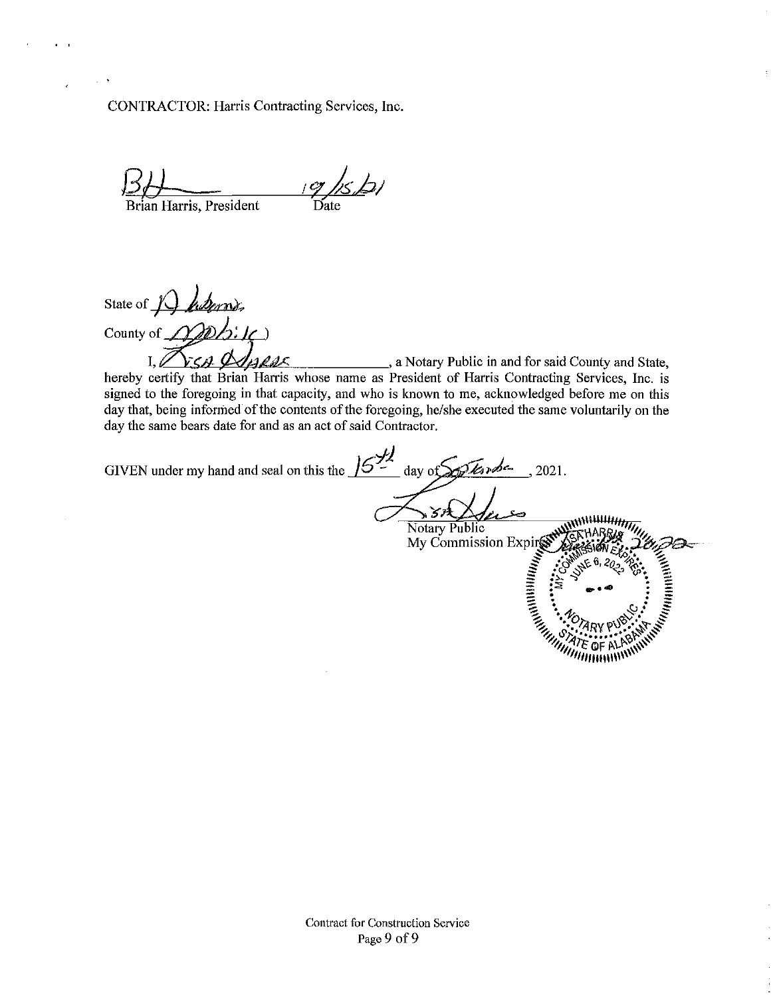CONTRACTOR: Harris Contracting Services, Inc.

*Bil=*  Brian Harris, President  $eg$ / $s$ b Date

State of *J harms*, County of  $\mathcal{D}D\mathcal{L}$ : IC)

State of  $\bigcup$   $\bigcup_{i} \bigcup_{j} \bigcup_{j} \bigcup_{j}$ <br>County of  $\bigcup_{i} \bigcup_{j} \bigcup_{j} \bigcup_{j} \bigcup_{j}$ , a Notary Public in and for said County and State,<br>hereby certify that Brian Harris whose name as President of Harris Contracting Servic signed to the foregoing in that capacity, and who is known to me, acknowledged before me on this day that, being informed of the contents of the foregoing, he/she executed the same voluntarily on the day the same bears date for and as an act of said Contractor.